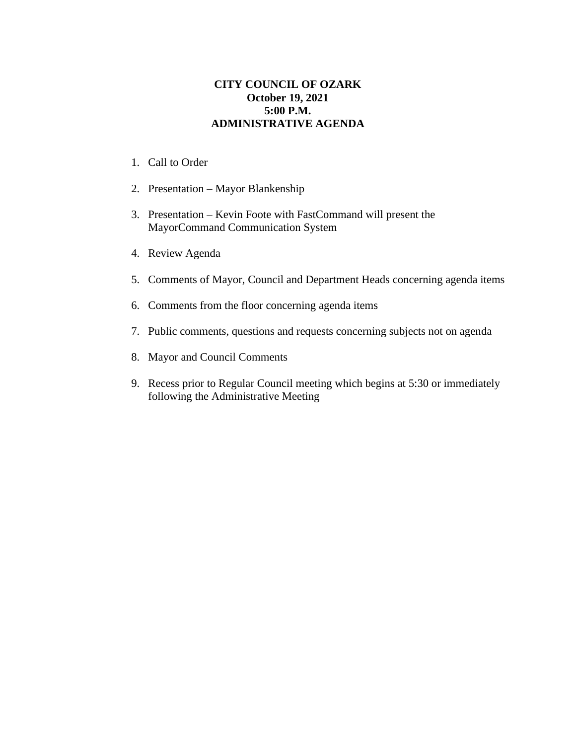## **CITY COUNCIL OF OZARK October 19, 2021 5:00 P.M. ADMINISTRATIVE AGENDA**

- 1. Call to Order
- 2. Presentation Mayor Blankenship
- 3. Presentation Kevin Foote with FastCommand will present the MayorCommand Communication System
- 4. Review Agenda
- 5. Comments of Mayor, Council and Department Heads concerning agenda items
- 6. Comments from the floor concerning agenda items
- 7. Public comments, questions and requests concerning subjects not on agenda
- 8. Mayor and Council Comments
- 9. Recess prior to Regular Council meeting which begins at 5:30 or immediately following the Administrative Meeting